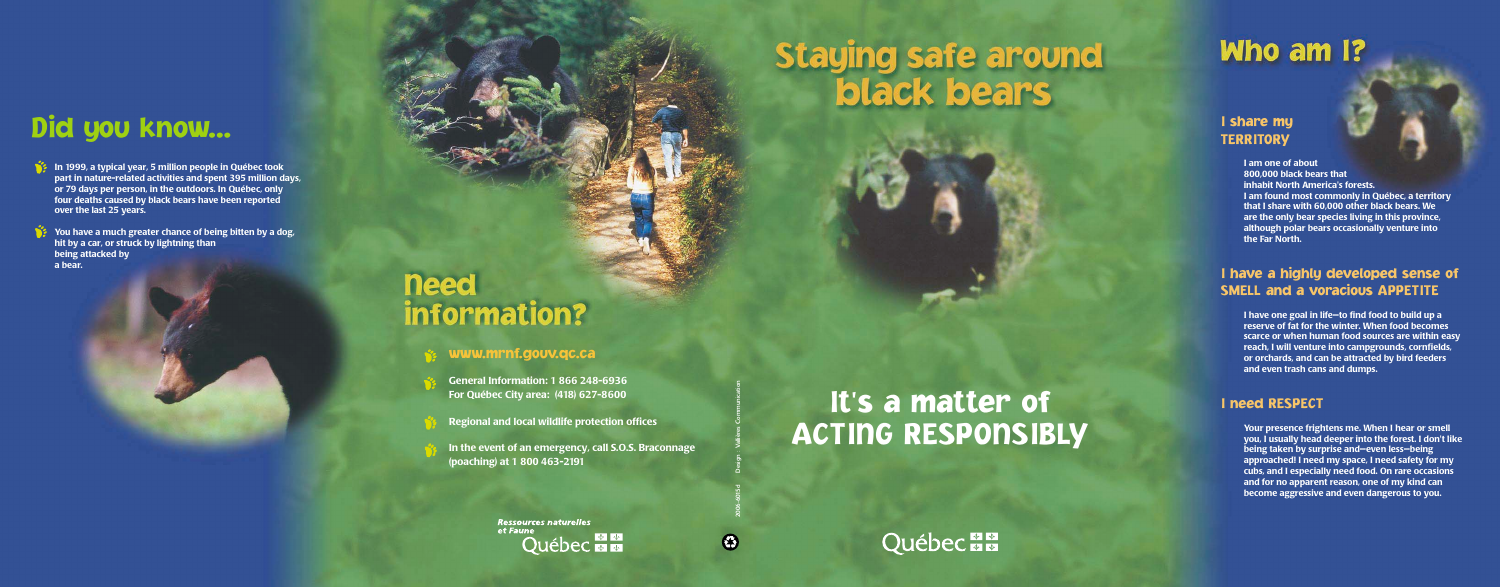#### I share my **TERRITORY**

**I am one of about 800,000 black bears that inhabit North America's forests. I am found most commonly in Québec, a territory that I share with 60,000 other black bears. We are the only bear species living in this province, although polar bears occasionally venture into the Far North.** 

#### I have a highly developed sense of SMELL and a voracious APPETITE

**I have one goal in life—to find food to build up a reserve of fat for the winter. When food becomes scarce or when human food sources are within easy reach, I will venture into campgrounds, cornfields, or orchards, and can be attracted by bird feeders and even trash cans and dumps.**

#### I need RESPECT

**Your presence frightens me. When I hear or smell you, I usually head deeper into the forest. I don't like being taken by surprise and—even less—being approached! I need my space, I need safety for my cubs, and I especially need food. On rare occasions and for no apparent reason, one of my kind can become aggressive and even dangerous to you.**

## It's a matter of **ACTING RESPONSIBLY**

### **Québecian**

## Did you know...

**In 1999, a typical year, 5 million people in Québec took part in nature-related activities and spent 395 million days, or 79 days per person, in the outdoors. In Québec, only four deaths caused by black bears have been reported over the last 25 years.**

**You have a much greater chance of being bitten by a dog, hit by a car, or struck by lightning than being attacked by a bear.**

## **need** information?

#### www.mrnf.gouv.qc.ca

- **General Information: 1 866 248-6936 For Québec City area: (418) 627-8600**
- **Regional and local wildlife protection offices**
- **In the event of an emergency, call S.O.S. Braconnage (poaching) at 1 800 463-2191**

**Ressources naturelles** et Faune **Québec** 

2006-6015d Design : Vallières Communication

 $\bigcirc$ 

# **Staying safe around** black bears

## Who am I?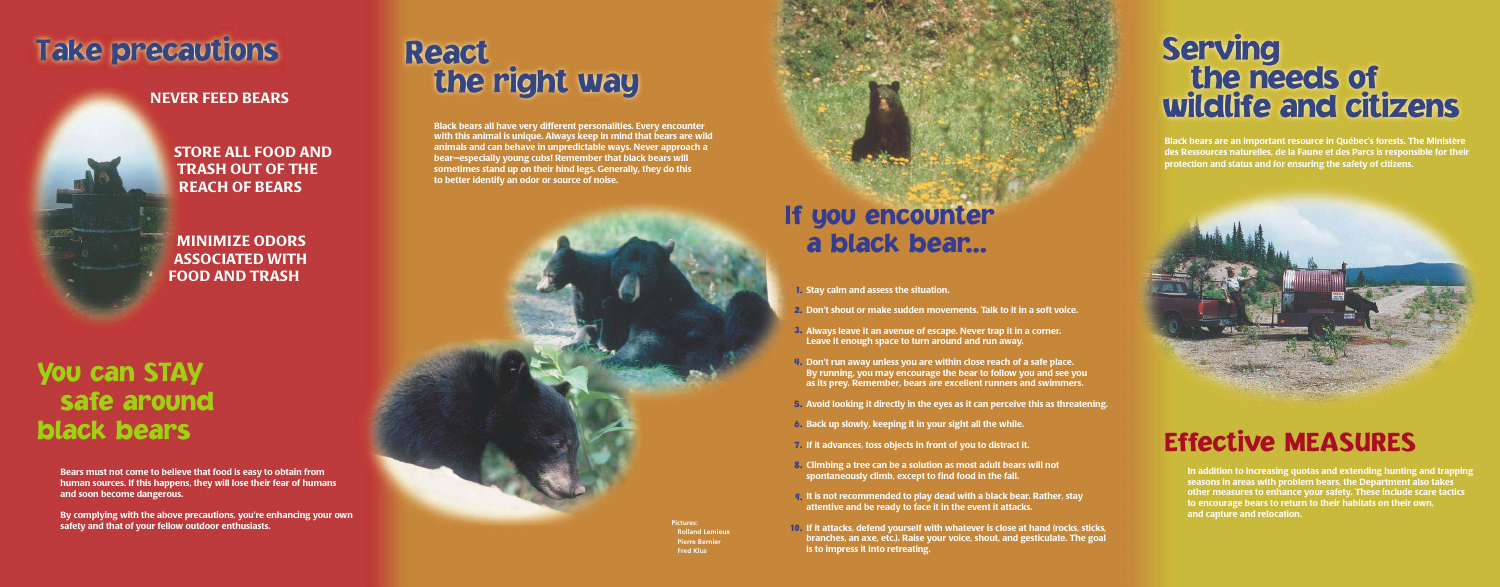## **Take precautions**

#### **NEVER FEED BEARS**

**STORE ALL FOOD AND TRASH OUT OF THE REACH OF BEARS**

**MINIMIZE ODORS ASSOCIATED WITH FOOD AND TRASH**

### You can STAY safe around black bears

**Bears must not come to believe that food is easy to obtain from human sources. If this happens, they will lose their fear of humans and soon become dangerous.**

**By complying with the above precautions, you're enhancing your own safety and that of your fellow outdoor enthusiasts.**

## **React** the right way

**4.** Don't run away unless you are within close reach of a safe place. **By running, you may encourage the bear to follow you and see you as its prey. Remember, bears are excellent runners and swimmers.**

**5.** Avoid looking it directly in the eyes as it can perceive this as threatening.

### If you encounter a black bear...

**Always leave it an avenue of escape. Never trap it in a corner.**  3. **Leave it enough space to turn around and run away.**

**Climbing a tree can be a solution as most adult bears will not**  8. **spontaneously climb, except to find food in the fall.**

**It is not recommended to play dead with a black bear. Rather, stay**  9. **attentive and be ready to face it in the event it attacks.** 

## **Serving** the needs of wildlife and citizens

**If it attacks, defend yourself with whatever is close at hand (rocks, sticks, branches, an axe, etc.). Raise your voice, shout, and gesticulate. The goal is to impress it into retreating.**

**Stay calm and assess the situation.** 1.

**Don't shout or make sudden movements. Talk to it in a soft voice.** 2.

**Back up slowly, keeping it in your sight all the while.**  6.

**Black bears all have very different personalities. Every encounter with this animal is unique. Always keep in mind that bears are wild animals and can behave in unpredictable ways. Never approach a bear—especially young cubs! Remember that black bears will sometimes stand up on their hind legs. Generally, they do this to better identify an odor or source of noise.**



**If it advances, toss objects in front of you to distract it.**  7.

**Black bears are an important resource in Québec's forests. The Ministère des Ressources naturelles, de la Faune et des Parcs is responsible for their protection and status and for ensuring the safety of citizens.**



## Effective MEASURES

**In addition to increasing quotas and extending hunting and trapping seasons in areas with problem bears, the Department also takes other measures to enhance your safety. These include scare tactics to encourage bears to return to their habitats on their own, and capture and relocation.**

10. **Pictures: Rolland Lemieux Pierre Bernier Fred Klus**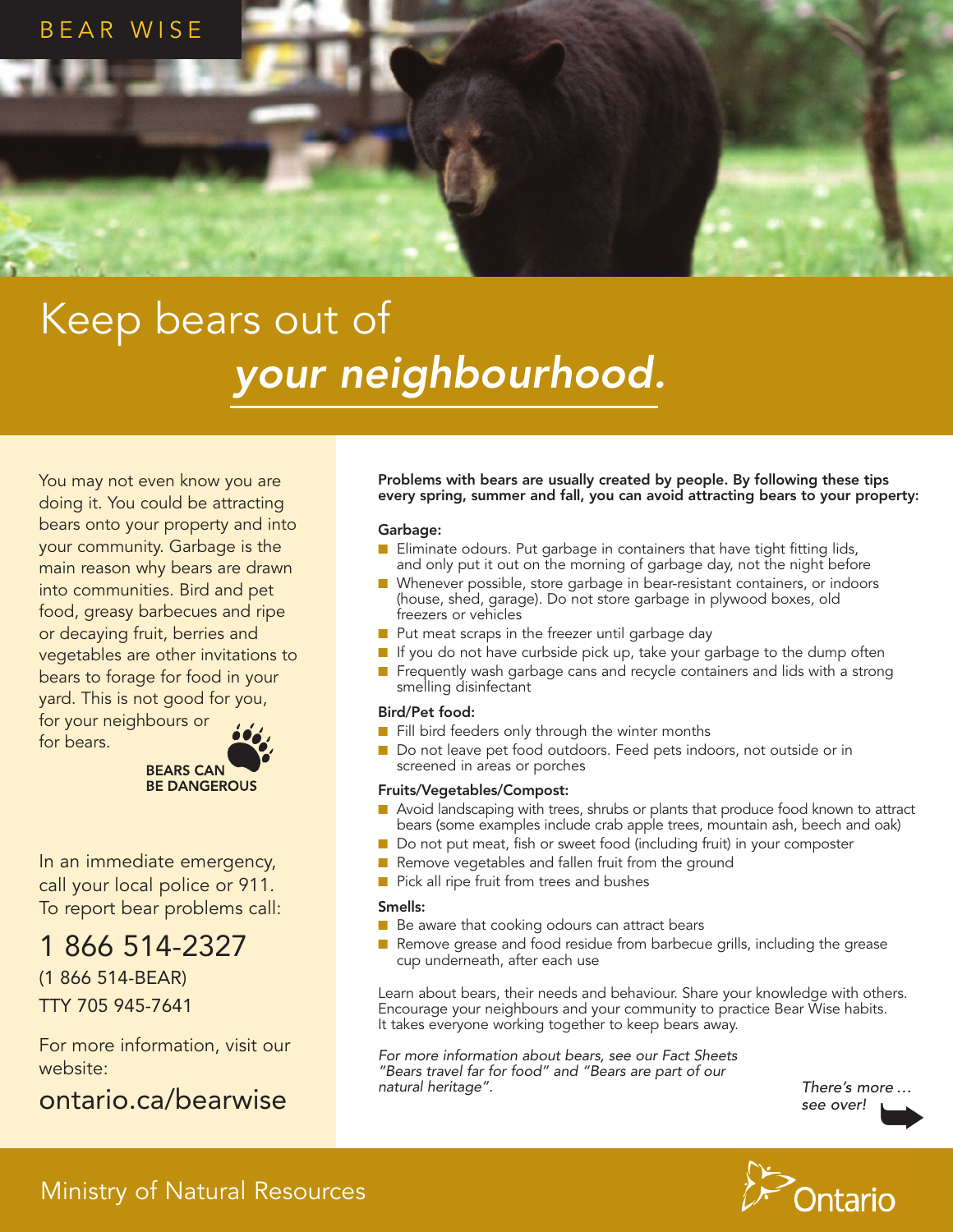

## Keep bears out of *your neighbourhood.*

You may not even know you are doing it. You could be attracting bears onto your property and into your community. Garbage is the main reason why bears are drawn into communities. Bird and pet food, greasy barbecues and ripe or decaying fruit, berries and vegetables are other invitations to bears to forage for food in your yard. This is not good for you,

for your neighbours or for bears.

**BEARS CAN BE DANGEROUS** 

In an immediate emergency, call your local police or 911. To report bear problems call:

### 1 866 514-2327

(1 866 514-BEAR) TTY 705 945-7641

For more information, visit our website:

#### ontario.ca/bearwise

Problems with bears are usually created by people. By following these tips every spring, summer and fall, you can avoid attracting bears to your property:

#### Garbage:

- $\blacksquare$  Eliminate odours. Put garbage in containers that have tight fitting lids, and only put it out on the morning of garbage day, not the night before
- Whenever possible, store garbage in bear-resistant containers, or indoors (house, shed, garage). Do not store garbage in plywood boxes, old freezers or vehicles
- Put meat scraps in the freezer until garbage day
- $\blacksquare$  If you do not have curbside pick up, take your garbage to the dump often
- Frequently wash garbage cans and recycle containers and lids with a strong smelling disinfectant

#### Bird/Pet food:

- $\blacksquare$  Fill bird feeders only through the winter months
- Do not leave pet food outdoors. Feed pets indoors, not outside or in screened in areas or porches

#### Fruits/Vegetables/Compost:

- Avoid landscaping with trees, shrubs or plants that produce food known to attract bears (some examples include crab apple trees, mountain ash, beech and oak)
- Do not put meat, fish or sweet food (including fruit) in your composter
- Remove vegetables and fallen fruit from the ground
- Pick all ripe fruit from trees and bushes

#### Smells:

- $\blacksquare$  Be aware that cooking odours can attract bears
- $\blacksquare$  Remove grease and food residue from barbecue grills, including the grease cup underneath, after each use

Learn about bears, their needs and behaviour. Share your knowledge with others. Encourage your neighbours and your community to practice Bear Wise habits. It takes everyone working together to keep bears away.

*For more information about bears, see our Fact Sheets "Bears travel far for food" and "Bears are part of our natural heritage".*

*There's* more …<br>see over! *see over!*



#### Ministry of Natural Resources